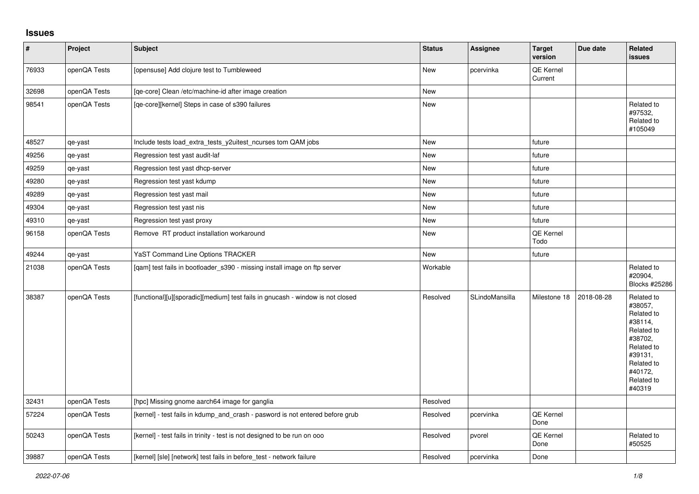## **Issues**

| $\vert$ # | Project      | <b>Subject</b>                                                                 | <b>Status</b> | <b>Assignee</b> | <b>Target</b><br>version | Due date   | Related<br><b>issues</b>                                                                                                                          |
|-----------|--------------|--------------------------------------------------------------------------------|---------------|-----------------|--------------------------|------------|---------------------------------------------------------------------------------------------------------------------------------------------------|
| 76933     | openQA Tests | [opensuse] Add clojure test to Tumbleweed                                      | <b>New</b>    | pcervinka       | QE Kernel<br>Current     |            |                                                                                                                                                   |
| 32698     | openQA Tests | [qe-core] Clean /etc/machine-id after image creation                           | <b>New</b>    |                 |                          |            |                                                                                                                                                   |
| 98541     | openQA Tests | [qe-core][kernel] Steps in case of s390 failures                               | New           |                 |                          |            | Related to<br>#97532,<br>Related to<br>#105049                                                                                                    |
| 48527     | qe-yast      | Include tests load_extra_tests_y2uitest_ncurses tom QAM jobs                   | New           |                 | future                   |            |                                                                                                                                                   |
| 49256     | qe-yast      | Regression test yast audit-laf                                                 | New           |                 | future                   |            |                                                                                                                                                   |
| 49259     | qe-yast      | Regression test yast dhcp-server                                               | <b>New</b>    |                 | future                   |            |                                                                                                                                                   |
| 49280     | qe-yast      | Regression test yast kdump                                                     | New           |                 | future                   |            |                                                                                                                                                   |
| 49289     | qe-yast      | Regression test yast mail                                                      | New           |                 | future                   |            |                                                                                                                                                   |
| 49304     | qe-yast      | Regression test yast nis                                                       | <b>New</b>    |                 | future                   |            |                                                                                                                                                   |
| 49310     | qe-yast      | Regression test yast proxy                                                     | New           |                 | future                   |            |                                                                                                                                                   |
| 96158     | openQA Tests | Remove RT product installation workaround                                      | New           |                 | QE Kernel<br>Todo        |            |                                                                                                                                                   |
| 49244     | qe-yast      | YaST Command Line Options TRACKER                                              | New           |                 | future                   |            |                                                                                                                                                   |
| 21038     | openQA Tests | [qam] test fails in bootloader_s390 - missing install image on ftp server      | Workable      |                 |                          |            | Related to<br>#20904,<br>Blocks #25286                                                                                                            |
| 38387     | openQA Tests | [functional][u][sporadic][medium] test fails in gnucash - window is not closed | Resolved      | SLindoMansilla  | Milestone 18             | 2018-08-28 | Related to<br>#38057,<br>Related to<br>#38114,<br>Related to<br>#38702,<br>Related to<br>#39131,<br>Related to<br>#40172,<br>Related to<br>#40319 |
| 32431     | openQA Tests | [hpc] Missing gnome aarch64 image for ganglia                                  | Resolved      |                 |                          |            |                                                                                                                                                   |
| 57224     | openQA Tests | [kernel] - test fails in kdump_and_crash - pasword is not entered before grub  | Resolved      | pcervinka       | QE Kernel<br>Done        |            |                                                                                                                                                   |
| 50243     | openQA Tests | [kernel] - test fails in trinity - test is not designed to be run on ooo       | Resolved      | pvorel          | QE Kernel<br>Done        |            | Related to<br>#50525                                                                                                                              |
| 39887     | openQA Tests | [kernel] [sle] [network] test fails in before test - network failure           | Resolved      | pcervinka       | Done                     |            |                                                                                                                                                   |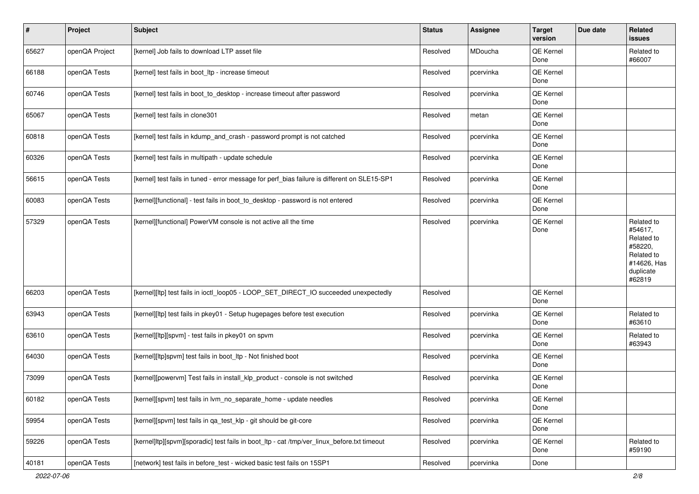| $\vert$ # | Project        | <b>Subject</b>                                                                               | <b>Status</b> | Assignee  | <b>Target</b><br>version | Due date | Related<br>issues                                                                                  |
|-----------|----------------|----------------------------------------------------------------------------------------------|---------------|-----------|--------------------------|----------|----------------------------------------------------------------------------------------------------|
| 65627     | openQA Project | [kernel] Job fails to download LTP asset file                                                | Resolved      | MDoucha   | QE Kernel<br>Done        |          | Related to<br>#66007                                                                               |
| 66188     | openQA Tests   | [kernel] test fails in boot_ltp - increase timeout                                           | Resolved      | pcervinka | QE Kernel<br>Done        |          |                                                                                                    |
| 60746     | openQA Tests   | [kernel] test fails in boot_to_desktop - increase timeout after password                     | Resolved      | pcervinka | <b>QE Kernel</b><br>Done |          |                                                                                                    |
| 65067     | openQA Tests   | [kernel] test fails in clone301                                                              | Resolved      | metan     | <b>QE Kernel</b><br>Done |          |                                                                                                    |
| 60818     | openQA Tests   | [kernel] test fails in kdump_and_crash - password prompt is not catched                      | Resolved      | pcervinka | <b>QE Kernel</b><br>Done |          |                                                                                                    |
| 60326     | openQA Tests   | [kernel] test fails in multipath - update schedule                                           | Resolved      | pcervinka | QE Kernel<br>Done        |          |                                                                                                    |
| 56615     | openQA Tests   | [kernel] test fails in tuned - error message for perf_bias failure is different on SLE15-SP1 | Resolved      | pcervinka | QE Kernel<br>Done        |          |                                                                                                    |
| 60083     | openQA Tests   | [kernel][functional] - test fails in boot_to_desktop - password is not entered               | Resolved      | pcervinka | QE Kernel<br>Done        |          |                                                                                                    |
| 57329     | openQA Tests   | [kernel][functional] PowerVM console is not active all the time                              | Resolved      | pcervinka | <b>QE Kernel</b><br>Done |          | Related to<br>#54617,<br>Related to<br>#58220,<br>Related to<br>#14626, Has<br>duplicate<br>#62819 |
| 66203     | openQA Tests   | [kernel][ltp] test fails in ioctl_loop05 - LOOP_SET_DIRECT_IO succeeded unexpectedly         | Resolved      |           | QE Kernel<br>Done        |          |                                                                                                    |
| 63943     | openQA Tests   | [kernel][ltp] test fails in pkey01 - Setup hugepages before test execution                   | Resolved      | pcervinka | <b>QE Kernel</b><br>Done |          | Related to<br>#63610                                                                               |
| 63610     | openQA Tests   | [kernel][ltp][spvm] - test fails in pkey01 on spvm                                           | Resolved      | pcervinka | QE Kernel<br>Done        |          | Related to<br>#63943                                                                               |
| 64030     | openQA Tests   | [kernel][ltp]spvm] test fails in boot_ltp - Not finished boot                                | Resolved      | pcervinka | QE Kernel<br>Done        |          |                                                                                                    |
| 73099     | openQA Tests   | [kernel][powervm] Test fails in install_klp_product - console is not switched                | Resolved      | pcervinka | QE Kernel<br>Done        |          |                                                                                                    |
| 60182     | openQA Tests   | [kernel][spvm] test fails in lvm_no_separate_home - update needles                           | Resolved      | pcervinka | QE Kernel<br>Done        |          |                                                                                                    |
| 59954     | openQA Tests   | [kernel][spvm] test fails in qa test klp - git should be git-core                            | Resolved      | pcervinka | QE Kernel<br>Done        |          |                                                                                                    |
| 59226     | openQA Tests   | [kernel]ltp][spvm][sporadic] test fails in boot ltp - cat /tmp/ver linux before.txt timeout  | Resolved      | pcervinka | QE Kernel<br>Done        |          | Related to<br>#59190                                                                               |
| 40181     | openQA Tests   | [network] test fails in before_test - wicked basic test fails on 15SP1                       | Resolved      | pcervinka | Done                     |          |                                                                                                    |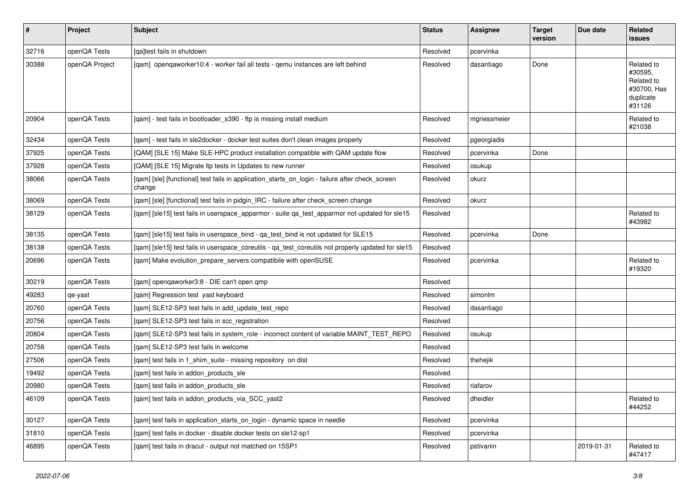| $\vert$ # | Project        | <b>Subject</b>                                                                                            | <b>Status</b> | <b>Assignee</b> | <b>Target</b><br>version | Due date   | <b>Related</b><br><b>issues</b>                                           |
|-----------|----------------|-----------------------------------------------------------------------------------------------------------|---------------|-----------------|--------------------------|------------|---------------------------------------------------------------------------|
| 32716     | openQA Tests   | [ga]test fails in shutdown                                                                                | Resolved      | pcervinka       |                          |            |                                                                           |
| 30388     | openQA Project | [qam] openqaworker10:4 - worker fail all tests - qemu instances are left behind                           | Resolved      | dasantiago      | Done                     |            | Related to<br>#30595,<br>Related to<br>#30700, Has<br>duplicate<br>#31126 |
| 20904     | openQA Tests   | [gam] - test fails in bootloader s390 - ftp is missing install medium                                     | Resolved      | mgriessmeier    |                          |            | Related to<br>#21038                                                      |
| 32434     | openQA Tests   | [qam] - test fails in sle2docker - docker test suites don't clean images properly                         | Resolved      | pgeorgiadis     |                          |            |                                                                           |
| 37925     | openQA Tests   | [QAM] [SLE 15] Make SLE-HPC product installation compatible with QAM update flow                          | Resolved      | pcervinka       | Done                     |            |                                                                           |
| 37928     | openQA Tests   | [QAM] [SLE 15] Migrate Itp tests in Updates to new runner                                                 | Resolved      | osukup          |                          |            |                                                                           |
| 38066     | openQA Tests   | [qam] [sle] [functional] test fails in application_starts_on_login - failure after check_screen<br>change | Resolved      | okurz           |                          |            |                                                                           |
| 38069     | openQA Tests   | [qam] [sle] [functional] test fails in pidgin_IRC - failure after check_screen change                     | Resolved      | okurz           |                          |            |                                                                           |
| 38129     | openQA Tests   | [gam] [sle15] test fails in userspace apparmor - suite ga test apparmor not updated for sle15             | Resolved      |                 |                          |            | Related to<br>#43982                                                      |
| 38135     | openQA Tests   | [gam] [sle15] test fails in userspace bind - ga test bind is not updated for SLE15                        | Resolved      | pcervinka       | Done                     |            |                                                                           |
| 38138     | openQA Tests   | [gam] [sle15] test fails in userspace_coreutils - ga_test_coreutils not properly updated for sle15        | Resolved      |                 |                          |            |                                                                           |
| 20696     | openQA Tests   | [qam] Make evolution_prepare_servers compatibile with openSUSE                                            | Resolved      | pcervinka       |                          |            | Related to<br>#19320                                                      |
| 30219     | openQA Tests   | [gam] opengaworker3:8 - DIE can't open gmp                                                                | Resolved      |                 |                          |            |                                                                           |
| 49283     | qe-yast        | [gam] Regression test yast keyboard                                                                       | Resolved      | simonlm         |                          |            |                                                                           |
| 20760     | openQA Tests   | [qam] SLE12-SP3 test fails in add_update_test_repo                                                        | Resolved      | dasantiago      |                          |            |                                                                           |
| 20756     | openQA Tests   | [gam] SLE12-SP3 test fails in scc registration                                                            | Resolved      |                 |                          |            |                                                                           |
| 20804     | openQA Tests   | [qam] SLE12-SP3 test fails in system_role - incorrect content of variable MAINT_TEST_REPO                 | Resolved      | osukup          |                          |            |                                                                           |
| 20758     | openQA Tests   | [gam] SLE12-SP3 test fails in welcome                                                                     | Resolved      |                 |                          |            |                                                                           |
| 27506     | openQA Tests   | [qam] test fails in 1_shim_suite - missing repository on dist                                             | Resolved      | thehejik        |                          |            |                                                                           |
| 19492     | openQA Tests   | [qam] test fails in addon_products_sle                                                                    | Resolved      |                 |                          |            |                                                                           |
| 20980     | openQA Tests   | [qam] test fails in addon_products_sle                                                                    | Resolved      | riafarov        |                          |            |                                                                           |
| 46109     | openQA Tests   | [qam] test fails in addon_products_via_SCC_yast2                                                          | Resolved      | dheidler        |                          |            | Related to<br>#44252                                                      |
| 30127     | openQA Tests   | [gam] test fails in application starts on login - dynamic space in needle                                 | Resolved      | pcervinka       |                          |            |                                                                           |
| 31810     | openQA Tests   | [gam] test fails in docker - disable docker tests on sle12-sp1                                            | Resolved      | pcervinka       |                          |            |                                                                           |
| 46895     | openQA Tests   | [gam] test fails in dracut - output not matched on 15SP1                                                  | Resolved      | pstivanin       |                          | 2019-01-31 | Related to<br>#47417                                                      |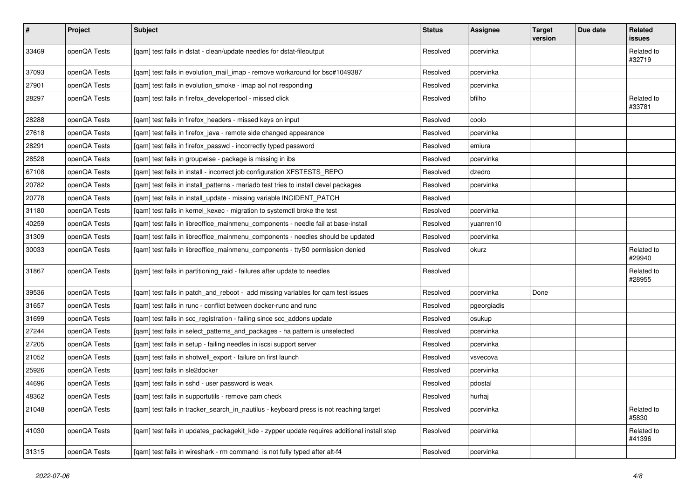| $\sharp$ | <b>Project</b> | Subject                                                                                     | <b>Status</b> | Assignee    | <b>Target</b><br>version | Due date | Related<br>issues    |
|----------|----------------|---------------------------------------------------------------------------------------------|---------------|-------------|--------------------------|----------|----------------------|
| 33469    | openQA Tests   | [qam] test fails in dstat - clean/update needles for dstat-fileoutput                       | Resolved      | pcervinka   |                          |          | Related to<br>#32719 |
| 37093    | openQA Tests   | [qam] test fails in evolution_mail_imap - remove workaround for bsc#1049387                 | Resolved      | pcervinka   |                          |          |                      |
| 27901    | openQA Tests   | [qam] test fails in evolution_smoke - imap aol not responding                               | Resolved      | pcervinka   |                          |          |                      |
| 28297    | openQA Tests   | [qam] test fails in firefox_developertool - missed click                                    | Resolved      | bfilho      |                          |          | Related to<br>#33781 |
| 28288    | openQA Tests   | [gam] test fails in firefox headers - missed keys on input                                  | Resolved      | coolo       |                          |          |                      |
| 27618    | openQA Tests   | [qam] test fails in firefox_java - remote side changed appearance                           | Resolved      | pcervinka   |                          |          |                      |
| 28291    | openQA Tests   | [qam] test fails in firefox_passwd - incorrectly typed password                             | Resolved      | emiura      |                          |          |                      |
| 28528    | openQA Tests   | [qam] test fails in groupwise - package is missing in ibs                                   | Resolved      | pcervinka   |                          |          |                      |
| 67108    | openQA Tests   | [qam] test fails in install - incorrect job configuration XFSTESTS_REPO                     | Resolved      | dzedro      |                          |          |                      |
| 20782    | openQA Tests   | [qam] test fails in install_patterns - mariadb test tries to install devel packages         | Resolved      | pcervinka   |                          |          |                      |
| 20778    | openQA Tests   | [qam] test fails in install_update - missing variable INCIDENT_PATCH                        | Resolved      |             |                          |          |                      |
| 31180    | openQA Tests   | [qam] test fails in kernel_kexec - migration to systemctl broke the test                    | Resolved      | pcervinka   |                          |          |                      |
| 40259    | openQA Tests   | [qam] test fails in libreoffice_mainmenu_components - needle fail at base-install           | Resolved      | yuanren10   |                          |          |                      |
| 31309    | openQA Tests   | [qam] test fails in libreoffice_mainmenu_components - needles should be updated             | Resolved      | pcervinka   |                          |          |                      |
| 30033    | openQA Tests   | [qam] test fails in libreoffice_mainmenu_components - ttyS0 permission denied               | Resolved      | okurz       |                          |          | Related to<br>#29940 |
| 31867    | openQA Tests   | [qam] test fails in partitioning_raid - failures after update to needles                    | Resolved      |             |                          |          | Related to<br>#28955 |
| 39536    | openQA Tests   | [qam] test fails in patch_and_reboot - add missing variables for qam test issues            | Resolved      | pcervinka   | Done                     |          |                      |
| 31657    | openQA Tests   | [qam] test fails in runc - conflict between docker-runc and runc                            | Resolved      | pgeorgiadis |                          |          |                      |
| 31699    | openQA Tests   | [qam] test fails in scc_registration - failing since scc_addons update                      | Resolved      | osukup      |                          |          |                      |
| 27244    | openQA Tests   | [qam] test fails in select_patterns_and_packages - ha pattern is unselected                 | Resolved      | pcervinka   |                          |          |                      |
| 27205    | openQA Tests   | [qam] test fails in setup - failing needles in iscsi support server                         | Resolved      | pcervinka   |                          |          |                      |
| 21052    | openQA Tests   | [qam] test fails in shotwell_export - failure on first launch                               | Resolved      | vsvecova    |                          |          |                      |
| 25926    | openQA Tests   | [qam] test fails in sle2docker                                                              | Resolved      | pcervinka   |                          |          |                      |
| 44696    | openQA Tests   | [qam] test fails in sshd - user password is weak                                            | Resolved      | pdostal     |                          |          |                      |
| 48362    | openQA Tests   | [qam] test fails in supportutils - remove pam check                                         | Resolved      | hurhaj      |                          |          |                      |
| 21048    | openQA Tests   | [qam] test fails in tracker_search_in_nautilus - keyboard press is not reaching target      | Resolved      | pcervinka   |                          |          | Related to<br>#5830  |
| 41030    | openQA Tests   | [gam] test fails in updates_packagekit_kde - zypper update requires additional install step | Resolved      | pcervinka   |                          |          | Related to<br>#41396 |
| 31315    | openQA Tests   | [gam] test fails in wireshark - rm command is not fully typed after alt-f4                  | Resolved      | pcervinka   |                          |          |                      |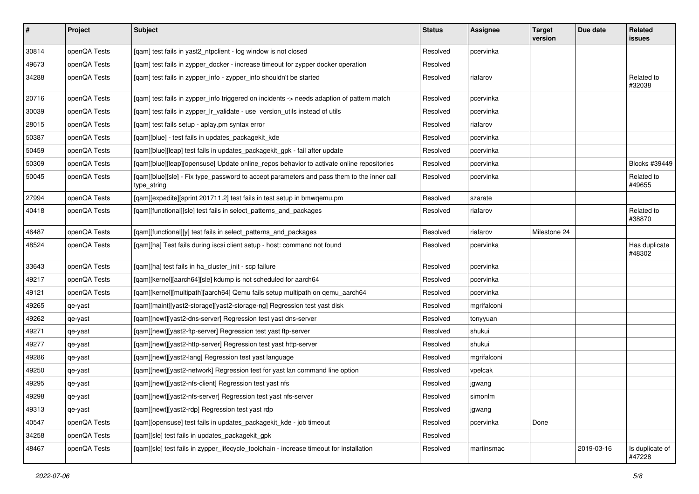| $\vert$ # | Project      | <b>Subject</b>                                                                                           | <b>Status</b> | <b>Assignee</b> | <b>Target</b><br>version | Due date   | Related<br>issues         |
|-----------|--------------|----------------------------------------------------------------------------------------------------------|---------------|-----------------|--------------------------|------------|---------------------------|
| 30814     | openQA Tests | [qam] test fails in yast2_ntpclient - log window is not closed                                           | Resolved      | pcervinka       |                          |            |                           |
| 49673     | openQA Tests | [qam] test fails in zypper_docker - increase timeout for zypper docker operation                         | Resolved      |                 |                          |            |                           |
| 34288     | openQA Tests | [qam] test fails in zypper_info - zypper_info shouldn't be started                                       | Resolved      | riafarov        |                          |            | Related to<br>#32038      |
| 20716     | openQA Tests | [qam] test fails in zypper_info triggered on incidents -> needs adaption of pattern match                | Resolved      | pcervinka       |                          |            |                           |
| 30039     | openQA Tests | [qam] test fails in zypper_lr_validate - use version_utils instead of utils                              | Resolved      | pcervinka       |                          |            |                           |
| 28015     | openQA Tests | [qam] test fails setup - aplay.pm syntax error                                                           | Resolved      | riafarov        |                          |            |                           |
| 50387     | openQA Tests | [qam][blue] - test fails in updates_packagekit_kde                                                       | Resolved      | pcervinka       |                          |            |                           |
| 50459     | openQA Tests | [qam][blue][leap] test fails in updates_packagekit_gpk - fail after update                               | Resolved      | pcervinka       |                          |            |                           |
| 50309     | openQA Tests | [qam][blue][leap][opensuse] Update online_repos behavior to activate online repositories                 | Resolved      | pcervinka       |                          |            | Blocks #39449             |
| 50045     | openQA Tests | [qam][blue][sle] - Fix type_password to accept parameters and pass them to the inner call<br>type_string | Resolved      | pcervinka       |                          |            | Related to<br>#49655      |
| 27994     | openQA Tests | [qam][expedite][sprint 201711.2] test fails in test setup in bmwqemu.pm                                  | Resolved      | szarate         |                          |            |                           |
| 40418     | openQA Tests | [qam][functional][sle] test fails in select_patterns_and_packages                                        | Resolved      | riafarov        |                          |            | Related to<br>#38870      |
| 46487     | openQA Tests | [qam][functional][y] test fails in select_patterns_and_packages                                          | Resolved      | riafarov        | Milestone 24             |            |                           |
| 48524     | openQA Tests | [qam][ha] Test fails during iscsi client setup - host: command not found                                 | Resolved      | pcervinka       |                          |            | Has duplicate<br>#48302   |
| 33643     | openQA Tests | [qam][ha] test fails in ha_cluster_init - scp failure                                                    | Resolved      | pcervinka       |                          |            |                           |
| 49217     | openQA Tests | [qam][kernel][aarch64][sle] kdump is not scheduled for aarch64                                           | Resolved      | pcervinka       |                          |            |                           |
| 49121     | openQA Tests | [qam][kernel][multipath][aarch64] Qemu fails setup multipath on qemu_aarch64                             | Resolved      | pcervinka       |                          |            |                           |
| 49265     | qe-yast      | [qam][maint][yast2-storage][yast2-storage-ng] Regression test yast disk                                  | Resolved      | mgrifalconi     |                          |            |                           |
| 49262     | qe-yast      | [gam][newt][yast2-dns-server] Regression test yast dns-server                                            | Resolved      | tonyyuan        |                          |            |                           |
| 49271     | qe-yast      | [qam][newt][yast2-ftp-server] Regression test yast ftp-server                                            | Resolved      | shukui          |                          |            |                           |
| 49277     | qe-yast      | [qam][newt][yast2-http-server] Regression test yast http-server                                          | Resolved      | shukui          |                          |            |                           |
| 49286     | qe-yast      | [qam][newt][yast2-lang] Regression test yast language                                                    | Resolved      | mgrifalconi     |                          |            |                           |
| 49250     | qe-yast      | [qam][newt][yast2-network] Regression test for yast lan command line option                              | Resolved      | vpelcak         |                          |            |                           |
| 49295     | qe-yast      | [qam][newt][yast2-nfs-client] Regression test yast nfs                                                   | Resolved      | jgwang          |                          |            |                           |
| 49298     | qe-yast      | [qam][newt][yast2-nfs-server] Regression test yast nfs-server                                            | Resolved      | simonlm         |                          |            |                           |
| 49313     | qe-yast      | [qam][newt][yast2-rdp] Regression test yast rdp                                                          | Resolved      | jgwang          |                          |            |                           |
| 40547     | openQA Tests | [qam][opensuse] test fails in updates_packagekit_kde - job timeout                                       | Resolved      | pcervinka       | Done                     |            |                           |
| 34258     | openQA Tests | [qam][sle] test fails in updates_packagekit_gpk                                                          | Resolved      |                 |                          |            |                           |
| 48467     | openQA Tests | [gam][sle] test fails in zypper lifecycle toolchain - increase timeout for installation                  | Resolved      | martinsmac      |                          | 2019-03-16 | Is duplicate of<br>#47228 |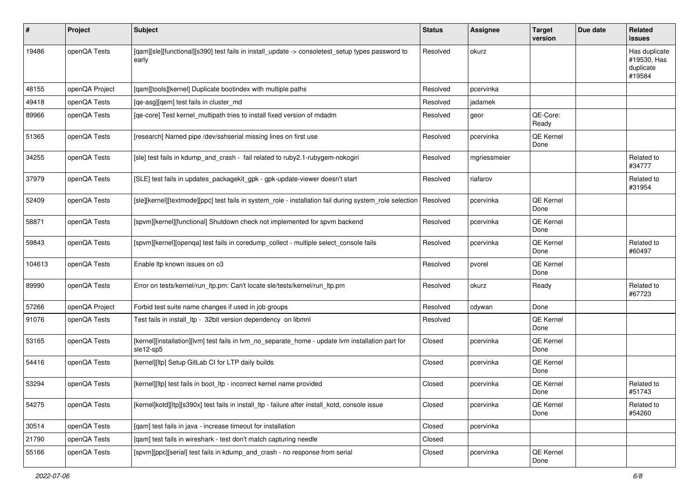| #      | Project        | Subject                                                                                                        | <b>Status</b> | Assignee     | <b>Target</b><br>version | Due date | Related<br>issues                                   |
|--------|----------------|----------------------------------------------------------------------------------------------------------------|---------------|--------------|--------------------------|----------|-----------------------------------------------------|
| 19486  | openQA Tests   | [qam][sle][functional][s390] test fails in install_update -> consoletest_setup types password to<br>early      | Resolved      | okurz        |                          |          | Has duplicate<br>#19530, Has<br>duplicate<br>#19584 |
| 48155  | openQA Project | [gam][tools][kernel] Duplicate bootindex with multiple paths                                                   | Resolved      | pcervinka    |                          |          |                                                     |
| 49418  | openQA Tests   | [qe-asg][qem] test fails in cluster_md                                                                         | Resolved      | jadamek      |                          |          |                                                     |
| 89966  | openQA Tests   | [qe-core] Test kernel_multipath tries to install fixed version of mdadm                                        | Resolved      | geor         | QE-Core:<br>Ready        |          |                                                     |
| 51365  | openQA Tests   | [research] Named pipe /dev/sshserial missing lines on first use                                                | Resolved      | pcervinka    | QE Kernel<br>Done        |          |                                                     |
| 34255  | openQA Tests   | [sle] test fails in kdump_and_crash - fail related to ruby2.1-rubygem-nokogiri                                 | Resolved      | mgriessmeier |                          |          | Related to<br>#34777                                |
| 37979  | openQA Tests   | [SLE] test fails in updates_packagekit_gpk - gpk-update-viewer doesn't start                                   | Resolved      | riafarov     |                          |          | Related to<br>#31954                                |
| 52409  | openQA Tests   | [sle][kernel][textmode][ppc] test fails in system_role - installation fail during system_role selection        | Resolved      | pcervinka    | QE Kernel<br>Done        |          |                                                     |
| 58871  | openQA Tests   | [spvm][kernel][functional] Shutdown check not implemented for spvm backend                                     | Resolved      | pcervinka    | QE Kernel<br>Done        |          |                                                     |
| 59843  | openQA Tests   | [spvm][kernel][openqa] test fails in coredump_collect - multiple select_console fails                          | Resolved      | pcervinka    | QE Kernel<br>Done        |          | Related to<br>#60497                                |
| 104613 | openQA Tests   | Enable Itp known issues on o3                                                                                  | Resolved      | pvorel       | QE Kernel<br>Done        |          |                                                     |
| 89990  | openQA Tests   | Error on tests/kernel/run_ltp.pm: Can't locate sle/tests/kernel/run_ltp.pm                                     | Resolved      | okurz        | Ready                    |          | Related to<br>#67723                                |
| 57266  | openQA Project | Forbid test suite name changes if used in job groups                                                           | Resolved      | cdywan       | Done                     |          |                                                     |
| 91076  | openQA Tests   | Test fails in install_ltp - 32bit version dependency on libmnl                                                 | Resolved      |              | QE Kernel<br>Done        |          |                                                     |
| 53165  | openQA Tests   | [kernel][installation][lvm] test fails in lvm_no_separate_home - update lvm installation part for<br>sle12-sp5 | Closed        | pcervinka    | QE Kernel<br>Done        |          |                                                     |
| 54416  | openQA Tests   | [kernel][ltp] Setup GitLab CI for LTP daily builds                                                             | Closed        | pcervinka    | QE Kernel<br>Done        |          |                                                     |
| 53294  | openQA Tests   | [kernel][ltp] test fails in boot_ltp - incorrect kernel name provided                                          | Closed        | pcervinka    | QE Kernel<br>Done        |          | Related to<br>#51743                                |
| 54275  | openQA Tests   | [kernel]kotd][ltp][s390x] test fails in install_ltp - failure after install_kotd, console issue                | Closed        | pcervinka    | QE Kernel<br>Done        |          | Related to<br>#54260                                |
| 30514  | openQA Tests   | [qam] test fails in java - increase timeout for installation                                                   | Closed        | pcervinka    |                          |          |                                                     |
| 21790  | openQA Tests   | [qam] test fails in wireshark - test don't match capturing needle                                              | Closed        |              |                          |          |                                                     |
| 55166  | openQA Tests   | [spvm][ppc][serial] test fails in kdump_and_crash - no response from serial                                    | Closed        | pcervinka    | QE Kernel<br>Done        |          |                                                     |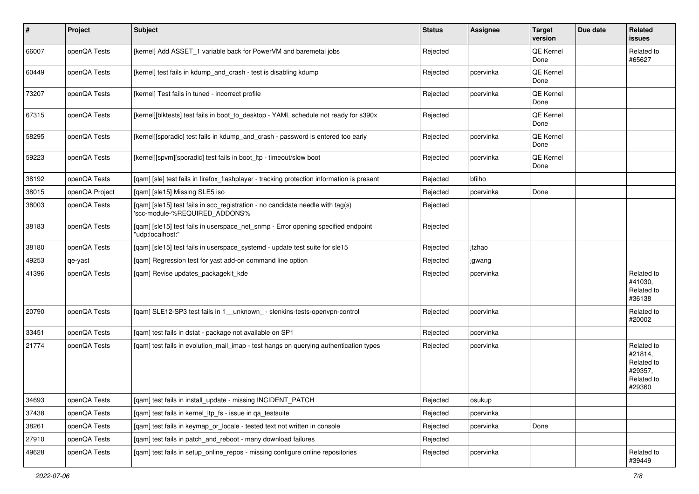| $\sharp$ | Project        | <b>Subject</b>                                                                                                  | <b>Status</b> | Assignee  | <b>Target</b><br>version | Due date | Related<br>issues                                                      |
|----------|----------------|-----------------------------------------------------------------------------------------------------------------|---------------|-----------|--------------------------|----------|------------------------------------------------------------------------|
| 66007    | openQA Tests   | [kernel] Add ASSET 1 variable back for PowerVM and baremetal jobs                                               | Rejected      |           | QE Kernel<br>Done        |          | Related to<br>#65627                                                   |
| 60449    | openQA Tests   | [kernel] test fails in kdump_and_crash - test is disabling kdump                                                | Rejected      | pcervinka | QE Kernel<br>Done        |          |                                                                        |
| 73207    | openQA Tests   | [kernel] Test fails in tuned - incorrect profile                                                                | Rejected      | pcervinka | QE Kernel<br>Done        |          |                                                                        |
| 67315    | openQA Tests   | [kernel][blktests] test fails in boot to desktop - YAML schedule not ready for s390x                            | Rejected      |           | QE Kernel<br>Done        |          |                                                                        |
| 58295    | openQA Tests   | [kernel][sporadic] test fails in kdump_and_crash - password is entered too early                                | Rejected      | pcervinka | QE Kernel<br>Done        |          |                                                                        |
| 59223    | openQA Tests   | [kernel][spvm][sporadic] test fails in boot_ltp - timeout/slow boot                                             | Rejected      | pcervinka | QE Kernel<br>Done        |          |                                                                        |
| 38192    | openQA Tests   | [qam] [sle] test fails in firefox_flashplayer - tracking protection information is present                      | Rejected      | bfilho    |                          |          |                                                                        |
| 38015    | openQA Project | [qam] [sle15] Missing SLE5 iso                                                                                  | Rejected      | pcervinka | Done                     |          |                                                                        |
| 38003    | openQA Tests   | [qam] [sle15] test fails in scc_registration - no candidate needle with tag(s)<br>'scc-module-%REQUIRED_ADDONS% | Rejected      |           |                          |          |                                                                        |
| 38183    | openQA Tests   | [qam] [sle15] test fails in userspace_net_snmp - Error opening specified endpoint<br>"udp:localhost:"           | Rejected      |           |                          |          |                                                                        |
| 38180    | openQA Tests   | [qam] [sle15] test fails in userspace_systemd - update test suite for sle15                                     | Rejected      | jtzhao    |                          |          |                                                                        |
| 49253    | qe-yast        | [qam] Regression test for yast add-on command line option                                                       | Rejected      | jgwang    |                          |          |                                                                        |
| 41396    | openQA Tests   | [qam] Revise updates_packagekit_kde                                                                             | Rejected      | pcervinka |                          |          | Related to<br>#41030,<br>Related to<br>#36138                          |
| 20790    | openQA Tests   | [qam] SLE12-SP3 test fails in 1_unknown_- slenkins-tests-openvpn-control                                        | Rejected      | pcervinka |                          |          | Related to<br>#20002                                                   |
| 33451    | openQA Tests   | [qam] test fails in dstat - package not available on SP1                                                        | Rejected      | pcervinka |                          |          |                                                                        |
| 21774    | openQA Tests   | [qam] test fails in evolution_mail_imap - test hangs on querying authentication types                           | Rejected      | pcervinka |                          |          | Related to<br>#21814,<br>Related to<br>#29357,<br>Related to<br>#29360 |
| 34693    | openQA Tests   | [qam] test fails in install_update - missing INCIDENT_PATCH                                                     | Rejected      | osukup    |                          |          |                                                                        |
| 37438    | openQA Tests   | [gam] test fails in kernel Itp fs - issue in ga testsuite                                                       | Rejected      | pcervinka |                          |          |                                                                        |
| 38261    | openQA Tests   | [qam] test fails in keymap_or_locale - tested text not written in console                                       | Rejected      | pcervinka | Done                     |          |                                                                        |
| 27910    | openQA Tests   | [qam] test fails in patch_and_reboot - many download failures                                                   | Rejected      |           |                          |          |                                                                        |
| 49628    | openQA Tests   | [gam] test fails in setup online repos - missing configure online repositories                                  | Rejected      | pcervinka |                          |          | Related to<br>#39449                                                   |